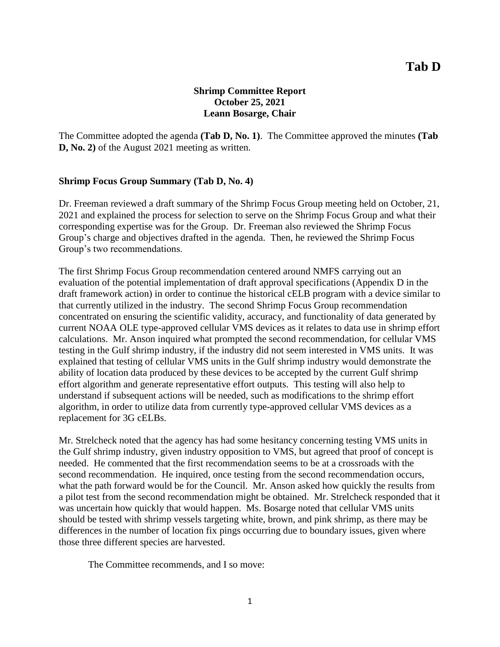# **Shrimp Committee Report October 25, 2021 Leann Bosarge, Chair**

The Committee adopted the agenda **(Tab D, No. 1)**. The Committee approved the minutes **(Tab D, No. 2)** of the August 2021 meeting as written.

## **Shrimp Focus Group Summary (Tab D, No. 4)**

Dr. Freeman reviewed a draft summary of the Shrimp Focus Group meeting held on October, 21, 2021 and explained the process for selection to serve on the Shrimp Focus Group and what their corresponding expertise was for the Group. Dr. Freeman also reviewed the Shrimp Focus Group's charge and objectives drafted in the agenda. Then, he reviewed the Shrimp Focus Group's two recommendations.

The first Shrimp Focus Group recommendation centered around NMFS carrying out an evaluation of the potential implementation of draft approval specifications (Appendix D in the draft framework action) in order to continue the historical cELB program with a device similar to that currently utilized in the industry. The second Shrimp Focus Group recommendation concentrated on ensuring the scientific validity, accuracy, and functionality of data generated by current NOAA OLE type-approved cellular VMS devices as it relates to data use in shrimp effort calculations. Mr. Anson inquired what prompted the second recommendation, for cellular VMS testing in the Gulf shrimp industry, if the industry did not seem interested in VMS units. It was explained that testing of cellular VMS units in the Gulf shrimp industry would demonstrate the ability of location data produced by these devices to be accepted by the current Gulf shrimp effort algorithm and generate representative effort outputs. This testing will also help to understand if subsequent actions will be needed, such as modifications to the shrimp effort algorithm, in order to utilize data from currently type-approved cellular VMS devices as a replacement for 3G cELBs.

Mr. Strelcheck noted that the agency has had some hesitancy concerning testing VMS units in the Gulf shrimp industry, given industry opposition to VMS, but agreed that proof of concept is needed. He commented that the first recommendation seems to be at a crossroads with the second recommendation. He inquired, once testing from the second recommendation occurs, what the path forward would be for the Council. Mr. Anson asked how quickly the results from a pilot test from the second recommendation might be obtained. Mr. Strelcheck responded that it was uncertain how quickly that would happen. Ms. Bosarge noted that cellular VMS units should be tested with shrimp vessels targeting white, brown, and pink shrimp, as there may be differences in the number of location fix pings occurring due to boundary issues, given where those three different species are harvested.

The Committee recommends, and I so move: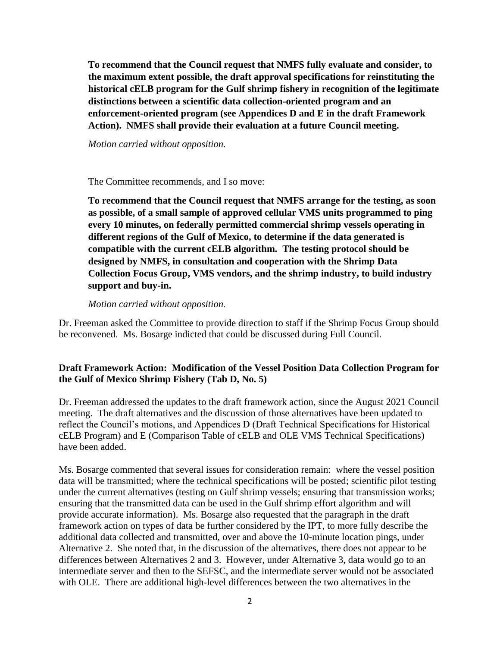**To recommend that the Council request that NMFS fully evaluate and consider, to the maximum extent possible, the draft approval specifications for reinstituting the historical cELB program for the Gulf shrimp fishery in recognition of the legitimate distinctions between a scientific data collection-oriented program and an enforcement-oriented program (see Appendices D and E in the draft Framework Action). NMFS shall provide their evaluation at a future Council meeting.**

*Motion carried without opposition.*

The Committee recommends, and I so move:

**To recommend that the Council request that NMFS arrange for the testing, as soon as possible, of a small sample of approved cellular VMS units programmed to ping every 10 minutes, on federally permitted commercial shrimp vessels operating in different regions of the Gulf of Mexico, to determine if the data generated is compatible with the current cELB algorithm. The testing protocol should be designed by NMFS, in consultation and cooperation with the Shrimp Data Collection Focus Group, VMS vendors, and the shrimp industry, to build industry support and buy-in.**

#### *Motion carried without opposition.*

Dr. Freeman asked the Committee to provide direction to staff if the Shrimp Focus Group should be reconvened. Ms. Bosarge indicted that could be discussed during Full Council.

## **Draft Framework Action: Modification of the Vessel Position Data Collection Program for the Gulf of Mexico Shrimp Fishery (Tab D, No. 5)**

Dr. Freeman addressed the updates to the draft framework action, since the August 2021 Council meeting. The draft alternatives and the discussion of those alternatives have been updated to reflect the Council's motions, and Appendices D (Draft Technical Specifications for Historical cELB Program) and E (Comparison Table of cELB and OLE VMS Technical Specifications) have been added.

Ms. Bosarge commented that several issues for consideration remain: where the vessel position data will be transmitted; where the technical specifications will be posted; scientific pilot testing under the current alternatives (testing on Gulf shrimp vessels; ensuring that transmission works; ensuring that the transmitted data can be used in the Gulf shrimp effort algorithm and will provide accurate information). Ms. Bosarge also requested that the paragraph in the draft framework action on types of data be further considered by the IPT, to more fully describe the additional data collected and transmitted, over and above the 10-minute location pings, under Alternative 2. She noted that, in the discussion of the alternatives, there does not appear to be differences between Alternatives 2 and 3. However, under Alternative 3, data would go to an intermediate server and then to the SEFSC, and the intermediate server would not be associated with OLE. There are additional high-level differences between the two alternatives in the